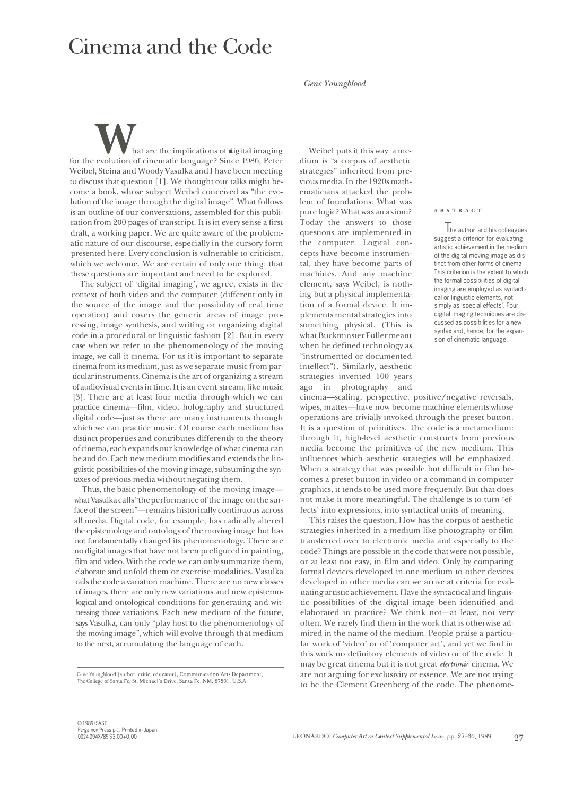# **Cinema and the Code**

#### *Gene Youngblood*

**W**<br>
hat are the implications of digital imaging<br>
for the evolution of cinematic language? Since 1986, Peter Weibel, Steina and Woody Vasulka and I have been meeting to discuss that question [1]. We thought our talks might become a book, whose subject Weibel conceived as "the evolution of the image through the digital image". What follows is an outline of our conversations, assembled for this publication from 200 pages of transcript. It is in every sense a first draft, a working paper. We are quite aware of the problematic nature of our discourse, especially in the cursory form presented here. Every conclusion is vulnerable to criticism, which we welcome. We are certain of only one thing: that these questions are important and need to be explored.

The subject of 'digital imaging', we agree, exists in the context of both video and the computer (different only in the source of the image and the possibility of real time operation) and covers the generic areas of image processing, image synthesis, and writing or organizing digital code in a procedural or linguistic fashion [2]. But in every case when we refer to the phenomenology of the moving image, we call it cinema. For us it is important to separate cinema from its medium, just as we separate music from particular instruments. Cinema is the art of organizing a stream ofaudiovisual events in time. It is an event stream, like music [3]. There are at least four media through which we can practice cinema-film, video, holography and structured digital code-just as there are many instruments through which we can practice music. Of course each medium has distinct properties and contributes differently to the theory of cinema, each expands our knowledge of what cinema can be and do. Each new medium modifies and extends the linguistic possibilities of the moving image, subsuming the syntaxes of previous media without negating them.

Thus, the basic phenomenology of the moving image what Vasulka calls "the performance of the image on the surface of the screen"—remains historically continuous across all media. Digital code, for example, has radically altered the epistemology and ontology of the moving image but has not fundamentally changed its phenomenology. There are no digital images that have not been prefigured in painting, film and video. With the code we can only summarize them, elaborate and unfold them or exercise modalities. Vasulka calls the code a variation machine. There are no new classes of images, there are only new variations and new epistemological and ontological conditions for generating and witnessing those variations. Each new medium of the future, says Vasulka, can only "play host to the phenomenology of the moving image", which will evolve through that medium to the next, accumulating the language of each.

Weibel puts it this way: a medium is "a corpus of aesthetic strategies" inherited from previous media. In the 1920s mathematicians attacked the problem of foundations: What was pure logic? What was an axiom? Today the answers to those questions are implemented in the computer. Logical concepts have become instrumental, they have become parts of machines. And any machine element, says Weibel, is nothing but a physical implementation of a formal device. It implements mental strategies into something physical. (This is what Buckminster Fuller meant when he defined technology as "instrumented or documented intellect"). Similarly, aesthetic strategies invented 100 years ago in photography and

#### ABSTRACT

I he author and his colleagues suggest a criterion for evaluating artistic achievement in the medium of the digital moving image as distinct from other forms of cinema. This criterion is the extent to which the formal possibilities of digital imaging are employed as syntactical or linguistic elements, not simply as 'special effects'. Four digital imaging techniques are discussed as possibilities for a new syntax and, hence, for the expansion of cinematic language.

cinema-scaling, perspective, positive/negative reversals, wipes, mattes-have now become machine elements whose operations are trivially invoked through the preset button. It is a question of primitives. The code is a metamedium: through it, high-level aesthetic constructs f <sup>r</sup>om previous media become the primitives of the new medium. This influences which aesthetic strategies will be emphasized. When a strategy that was possible but difficult in film becomes a preset button in video or a command in computer graphics, it tends to be used more frequently. But that does not make it more meaningful. The challenge is to turn 'effects' into expressions, into syntactical units of meaning.

This raises the question, How has the corpus of aesthetic strategies inherited in a medium like photography or film transferred over to electronic media and especially to the code? Things are possible in the code that were not possible, or at least not easy, in film and video. Only by comparing formal devices developed in one medium to other devices developed in other media can we arrive at criteria for evaluating artistic achievement. Have the syntactical and linguistic possibilities of the digital image been identified and elaborated in practice? We think not-at least, not very often. We rarely find them in the work that is otherwise admired in the name of the medium. People praise a particular work of 'video' or of 'computer art', and yet we find in this work no definitory elements of video or of the code. It may be great cinema but it is not great *electronic* cinema. We are not arguing for exclusivity or essence. We are not trying to be the Clement Greenberg of the code. The phenome-

**Gene Youngblood (author, critic, educator), Communication Arts Department,**  The College of Santa Fe, St. Michael's Drive, Santa Fe, NM, 87501, U.S.A.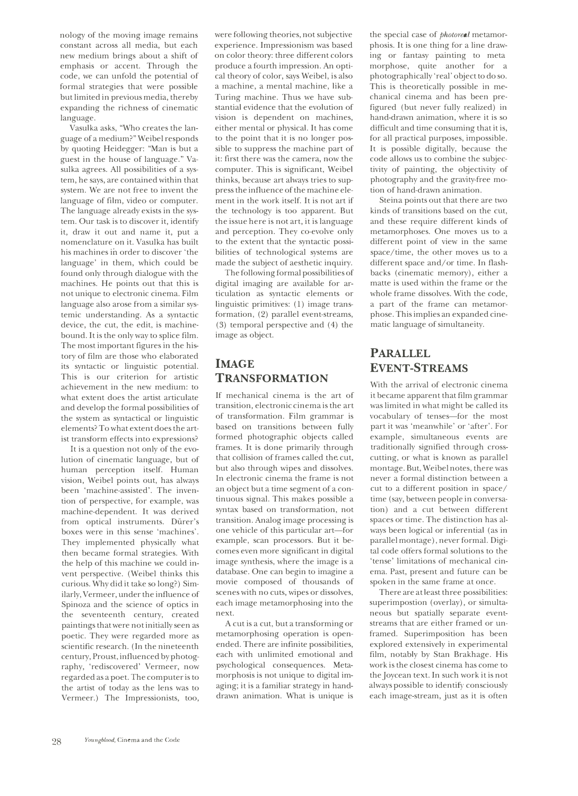nology of the moving image remains constant across all media, but each new medium brings about a shift of emphasis or accent. Through the code, we can unfold the potential of formal strategies that were possible but limited in previous media, thereby expanding the richness of cinematic language.

Vasulka asks, "Who creates the language of a medium?" Weibel responds by quoting Heidegger: "Man is but a guest in the house of language." Vasulka agrees. All possibilities of a system, he says, are contained within that system. We are not free to invent the language of film, video or computer. The language already exists in the system. Our task is to discover it, identify it, draw it out and name it, put a nomenclature on it. Vasulka has built his machines in order to discover 'the language' in them, which could be found only through dialogue with the machines. He points out that this is not unique to electronic cinema. Film language also arose from a similar systemic understanding. As a syntactic device, the cut, the edit, is machinebound. It is the only way to splice film. The most important figures in the history of film are those who elaborated its syntactic or linguistic potential. This is our criterion for artistic achievement in the new medium: to what extent does the artist articulate and develop the formal possibilities of the system as syntactical or linguistic elements? To what extent does the artist transform effects into expressions?

It is a question not only of the evolution of cinematic language, but of human perception itself. Human vision, Weibel points out, has always been 'machine-assisted'. The invention of perspective, for example, was machine-dependent. It was derived from optical instruments. Dürer's boxes were in this sense 'machines'. They implemented physically what then became formal strategies. With the help of this machine we could invent perspective. (Weibel thinks this curious. Why did it take so long?) Similarly, Vermeer, under the influence of Spinoza and the science of optics in the seventeenth century, created paintings that were not initially seen as poetic. They were regarded more as scientific research. (In the nineteenth century, Proust, influenced by photography, 'rediscovered' Vermeer, now regarded as a poet. The computer is to the artist of today as the lens was to Vermeer.) The Impressionists, too, were following theories, not subjective experience. Impressionism was based on color theory: three different colors produce a fourth impression. An optical theory of color, says Weibel, is also a machine, a mental machine, like a Turing machine. Thus we have substantial evidence that the evolution of vision is dependent on machines, either mental or physical. It has come to the point that it is no longer possible to suppress the machine part of it: first there was the camera, now the computer. This is significant, Weibel thinks, because art always tries to suppress the influence of the machine element in the work itself. It is not art if the technology is too apparent. But the issue here is not art, it is language and perception. They co-evolve only to the extent that the syntactic possibilities of technological systems are made the subject of aesthetic inquiry.

The following formal possibilities of digital imaging are available for articulation as syntactic elements or linguistic primitives: (1) image transformation, (2) parallel event-streams, (3) temporal perspective and (4) the image as object.

### **IMAGE TRANSFORMATION**

If mechanical cinema is the art of transition, electronic cinema is the art of transformation. Film grammar is based on transitions between fully formed photographic objects called frames. It is done primarily through that collision of frames called the cut, but also through wipes and dissolves. In electronic cinema the frame is not an object but a time segment of a continuous signal. This makes possible a syntax based on transformation, not transition. Analog image processing is one vehicle of this particular art-for example, scan processors. But it becomes even more significant in digital image synthesis, where the image is a database. One can begin to imagine a movie composed of thousands of scenes with no cuts, wipes or dissolves, each image metamorphosing into the next.

A cut is a cut, but a transforming or metamorphosing operation is openended. There are infinite possibilities, each with unlimited emotional and psychological consequences. Metamorphosis is not unique to digital imaging; it is a familiar strategy in handdrawn animation. What is unique is the special case of *photoreal* metamorphosis. It is one thing for a line drawing or fantasy painting to meta morphose, quite another for a photographically 'real' object to do so. This is theoretically possible in mechanical cinema and has been prefigured (but never fully realized) in hand-drawn animation, where it is so difficult and time consuming that it is, for all practical purposes, impossible. It is possible digitally, because the code allows us to combine the subjectivity of painting, the objectivity of photography and the gravity-free motion of hand-drawn animation.

Steina points out that there are two kinds of transitions based on the cut, and these require different kinds of metamorphoses. One moves us to a different point of view in the same space/time, the other moves us to a different space and/or time. In flashbacks (cinematic memory), either a matte is used within the frame or the whole frame dissolves. With the code, a part of the frame can metamorphose. This implies an expanded cinematic language of simultaneity.

## **PARALLEL EVENT-STREAMS**

With the arrival of electronic cinema it became apparent that film grammar was limited in what might be called its vocabulary of tenses-for the most part it was 'meanwhile' or 'after'. For example, simultaneous events are traditionally signified through crosscutting, or what is known as parallel montage. But, Weibel notes, there was never a formal distinction between a cut to a different position in space/ time (say, between people in conversation) and a cut between different spaces or time. The distinction has always been logical or inferential (as in parallel montage), never formal. Digital code offers formal solutions to the 'tense' limitations of mechanical cinema. Past, present and future can be spoken in the same frame at once.

There are at least three possibilities: superimpostion (overlay), or simultaneous but spatially separate eventstreams that are either framed or unframed. Superimposition has been explored extensively in experimental film, notably by Stan Brakhage. His work is the closest cinema has come to the Joycean text. In such work it is not always possible to identify consciously each image-stream, just as it is often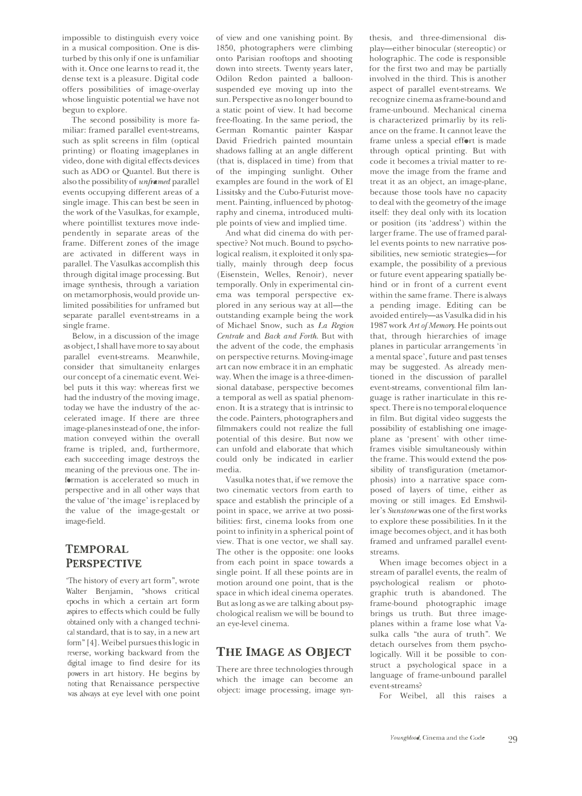impossible to distinguish every voice in a musical composition. One is disturbed by this only if one is unfamiliar with it. Once one learns to read it, the dense text is a pleasure. Digital code offers possibilities of image-overlay whose linguistic potential we have not begun to explore.

The second possibility is more familiar: framed parallel event-streams, such as split screens in film (optical printing) or floating imageplanes in video, done with digital effects devices such as ADO or Quantel. But there is also the possibility of *unframed* parallel events occupying different areas of a single image. This can best be seen in the work of the Vasulkas, for example, where pointillist textures move independently in separate areas of the frame. Different zones of the image are activated in different ways in parallel. The Vasulkas accomplish this through digital image processing. But image synthesis, through a variation on metamorphosis, would provide unlimited possibilities for unframed but separate parallel event-streams in a single frame.

Below, in a discussion of the image as object, I shall have more to say about parallel event-streams. Meanwhile, consider that simultaneity enlarges our concept of a cinematic event. Weibel puts it this way: whereas first we had the industry of the moving image, today we have the industry of the accelerated image. If there are three image-planes instead of one, the information conveyed within the overall frame is tripled, and, furthermore, each succeeding image destroys the meaning of the previous one. The information is accelerated so much in perspective and in all other ways that the value of 'the image' is replaced by the value of the image-gestalt or image-field.

### **TEMPORAL PERSPECTIVE**

"The history of every art form", wrote Walter Benjamin, "shows critical epochs in which a certain art form aspires to effects which could be fully obtained only with a changed technical standard, that is to say, in a new art form" [ 4]. Weibel pursues this logic in reverse, working backward from the digital image to find desire for its powers in art history. He begins by noting that Renaissance perspective was always at eye level with one point

of view and one vanishing point. By 1850, photographers were climbing onto Parisian rooftops and shooting down into streets. Twenty years later, Odilon Redon painted a balloonsuspended eye moving up into the sun. Perspective as no longer bound to a static point of view. It had become free-floating. In the same period, the German Romantic painter Kaspar David Friedrich painted mountain shadows falling at an angle different (that is, displaced in time) from that of the impinging sunlight. Other examples are found in the work of El Lissitsky and the Cubo-Futurist movement. Painting, influenced by photography and cinema, introduced multiple points of view and implied time.

And what did cinema do with perspective? Not much. Bound to psychological realism, it exploited it only spatially, mainly through deep focus (Eisenstein, Welles, Renoir), never temporally. Only in experimental cinema was temporal perspective explored in any serious way at all—the outstanding example being the work of Michael Snow, such as *La Region Centrale* and *Back and Forth.* But with the advent of the code, the emphasis on perspective returns. Moving-image art can now embrace it in an emphatic way. When the image is a three-dimensional database, perspective becomes a temporal as well as spatial phenomenon. It is a strategy that is intrinsic to the code. Painters, photographers and filmmakers could not realize the full potential of this desire. But now we can unfold and elaborate that which could only be indicated in earlier media.

Vasulka notes that, if we remove the two cinematic vectors from earth to space and establish the principle of a point in space, we arrive at two possibilities: first, cinema looks from one point to infinity in a spherical point of view. That is one vector, we shall say. The other is the opposite: one looks from each point in space towards a single point. If all these points are in motion around one point, that is the space in which ideal cinema operates. But as long as we are talking about psychological realism we will be bound to an eye-level cinema.

### **THE IMAGE AS OBJECT**

There are three technologies through which the image can become an object: image processing, image synthesis, and three-dimensional display-either binocular (stereoptic) or holographic. The code is responsible for the first two and may be partially involved in the third. This is another aspect of parallel event-streams. We recognize cinema as frame-bound and frame-unbound. Mechanical cinema is characterized primarliy by its reliance on the frame. It cannot leave the frame unless a special effort is made through optical printing. But with code it becomes a trivial matter to remove the image from the frame and treat it as an object, an image-plane, because those tools have no capacity to deal with the geometry of the image itself: they deal only with its location or position (its 'address') within the larger frame. The use of framed parallel events points to new narrative possibilities, new semiotic strategies-for example, the possibility of a previous or future event appearing spatially behind or in front of a current event within the same frame. There is always a pending image. Editing can be avoided entirely-as Vasulka did in his 1987 work *Art of Memory.* He points out that, through hierarchies of image planes in particular arrangements 'in a mental space', future and past tenses may be suggested. As already mentioned in the discussion of parallel event-streams, conventional film language is rather inarticulate in this respect. There is no temporal eloquence in film. But digital video suggests the possibility of establishing one imageplane as 'present' with other timeframes visible simultaneously within the frame. This would extend the possibility of transfiguration (metamorphosis) into a narrative space composed of layers of time, either as moving or still images. Ed Emshwiller's *Sunstonewas* one of the first works to explore these possibilities. In it the image becomes object, and it has both framed and unframed parallel eventstreams.

When image becomes object in a stream of parallel events, the realm of psychological realism or photographic truth is abandoned. The frame-bound photographic image brings us truth. But three imageplanes within a frame lose what Vasulka calls "the aura of truth". We detach ourselves from them psychologically. Will it be possible to construct a psychological space in a language of frame-unbound parallel event-streams?

For Weibel, all this raises a